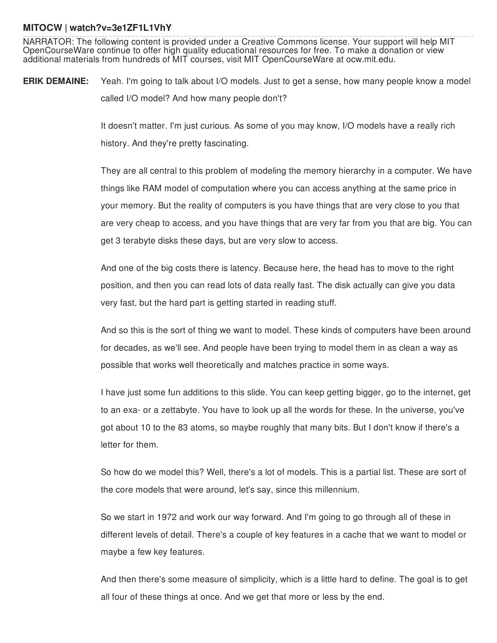## **MITOCW | watch?v=3e1ZF1L1VhY**

NARRATOR: The following content is provided under a Creative Commons license. Your support will help MIT OpenCourseWare continue to offer high quality educational resources for free. To make a donation or view additional materials from hundreds of MIT courses, visit MIT OpenCourseWare at ocw.mit.edu.

**ERIK DEMAINE:** Yeah. I'm going to talk about I/O models. Just to get a sense, how many people know a model called I/O model? And how many people don't?

> It doesn't matter. I'm just curious. As some of you may know, I/O models have a really rich history. And they're pretty fascinating.

They are all central to this problem of modeling the memory hierarchy in a computer. We have things like RAM model of computation where you can access anything at the same price in your memory. But the reality of computers is you have things that are very close to you that are very cheap to access, and you have things that are very far from you that are big. You can get 3 terabyte disks these days, but are very slow to access.

And one of the big costs there is latency. Because here, the head has to move to the right position, and then you can read lots of data really fast. The disk actually can give you data very fast, but the hard part is getting started in reading stuff.

And so this is the sort of thing we want to model. These kinds of computers have been around for decades, as we'll see. And people have been trying to model them in as clean a way as possible that works well theoretically and matches practice in some ways.

I have just some fun additions to this slide. You can keep getting bigger, go to the internet, get to an exa- or a zettabyte. You have to look up all the words for these. In the universe, you've got about 10 to the 83 atoms, so maybe roughly that many bits. But I don't know if there's a letter for them.

So how do we model this? Well, there's a lot of models. This is a partial list. These are sort of the core models that were around, let's say, since this millennium.

So we start in 1972 and work our way forward. And I'm going to go through all of these in different levels of detail. There's a couple of key features in a cache that we want to model or maybe a few key features.

And then there's some measure of simplicity, which is a little hard to define. The goal is to get all four of these things at once. And we get that more or less by the end.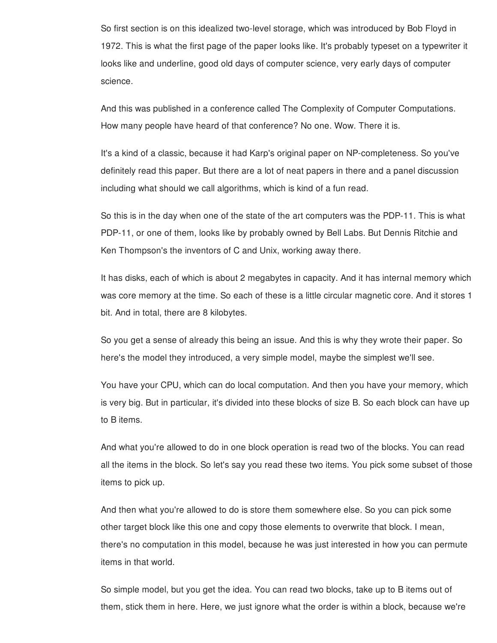So first section is on this idealized two-level storage, which was introduced by Bob Floyd in 1972. This is what the first page of the paper looks like. It's probably typeset on a typewriter it looks like and underline, good old days of computer science, very early days of computer science.

And this was published in a conference called The Complexity of Computer Computations. How many people have heard of that conference? No one. Wow. There it is.

It's a kind of a classic, because it had Karp's original paper on NP-completeness. So you've definitely read this paper. But there are a lot of neat papers in there and a panel discussion including what should we call algorithms, which is kind of a fun read.

So this is in the day when one of the state of the art computers was the PDP-11. This is what PDP-11, or one of them, looks like by probably owned by Bell Labs. But Dennis Ritchie and Ken Thompson's the inventors of C and Unix, working away there.

It has disks, each of which is about 2 megabytes in capacity. And it has internal memory which was core memory at the time. So each of these is a little circular magnetic core. And it stores 1 bit. And in total, there are 8 kilobytes.

So you get a sense of already this being an issue. And this is why they wrote their paper. So here's the model they introduced, a very simple model, maybe the simplest we'll see.

You have your CPU, which can do local computation. And then you have your memory, which is very big. But in particular, it's divided into these blocks of size B. So each block can have up to B items.

And what you're allowed to do in one block operation is read two of the blocks. You can read all the items in the block. So let's say you read these two items. You pick some subset of those items to pick up.

And then what you're allowed to do is store them somewhere else. So you can pick some other target block like this one and copy those elements to overwrite that block. I mean, there's no computation in this model, because he was just interested in how you can permute items in that world.

So simple model, but you get the idea. You can read two blocks, take up to B items out of them, stick them in here. Here, we just ignore what the order is within a block, because we're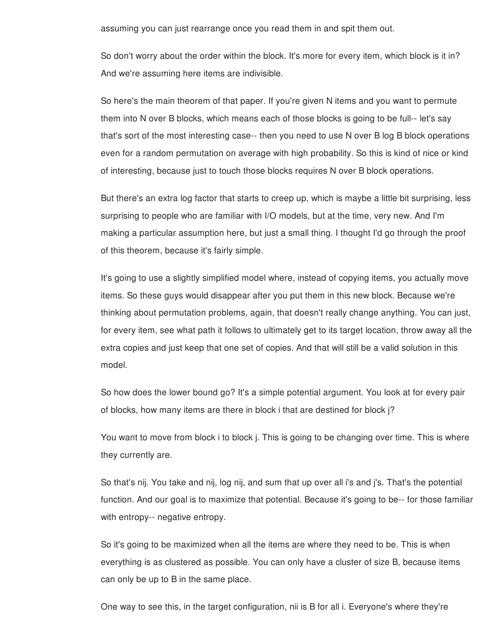assuming you can just rearrange once you read them in and spit them out.

So don't worry about the order within the block. It's more for every item, which block is it in? And we're assuming here items are indivisible.

So here's the main theorem of that paper. If you're given N items and you want to permute them into N over B blocks, which means each of those blocks is going to be full-- let's say that's sort of the most interesting case-- then you need to use N over B log B block operations even for a random permutation on average with high probability. So this is kind of nice or kind of interesting, because just to touch those blocks requires N over B block operations.

But there's an extra log factor that starts to creep up, which is maybe a little bit surprising, less surprising to people who are familiar with I/O models, but at the time, very new. And I'm making a particular assumption here, but just a small thing. I thought I'd go through the proof of this theorem, because it's fairly simple.

It's going to use a slightly simplified model where, instead of copying items, you actually move items. So these guys would disappear after you put them in this new block. Because we're thinking about permutation problems, again, that doesn't really change anything. You can just, for every item, see what path it follows to ultimately get to its target location, throw away all the extra copies and just keep that one set of copies. And that will still be a valid solution in this model.

So how does the lower bound go? It's a simple potential argument. You look at for every pair of blocks, how many items are there in block i that are destined for block j?

You want to move from block i to block j. This is going to be changing over time. This is where they currently are.

So that's nij. You take and nij, log nij, and sum that up over all i's and j's. That's the potential function. And our goal is to maximize that potential. Because it's going to be-- for those familiar with entropy-- negative entropy.

So it's going to be maximized when all the items are where they need to be. This is when everything is as clustered as possible. You can only have a cluster of size B, because items can only be up to B in the same place.

One way to see this, in the target configuration, nii is B for all i. Everyone's where they're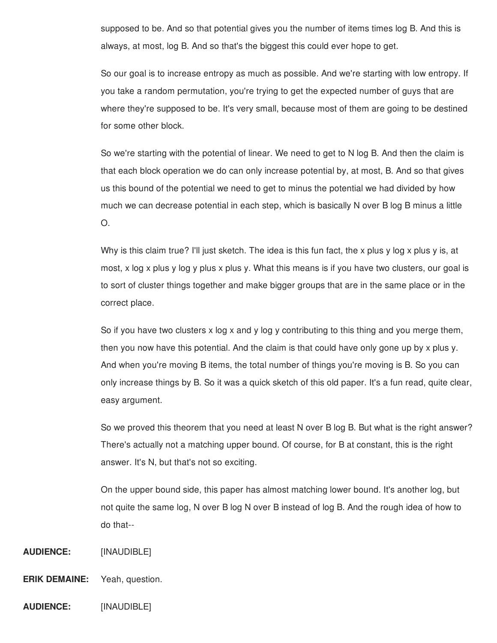supposed to be. And so that potential gives you the number of items times log B. And this is always, at most, log B. And so that's the biggest this could ever hope to get.

So our goal is to increase entropy as much as possible. And we're starting with low entropy. If you take a random permutation, you're trying to get the expected number of guys that are where they're supposed to be. It's very small, because most of them are going to be destined for some other block.

So we're starting with the potential of linear. We need to get to N log B. And then the claim is that each block operation we do can only increase potential by, at most, B. And so that gives us this bound of the potential we need to get to minus the potential we had divided by how much we can decrease potential in each step, which is basically N over B log B minus a little O.

Why is this claim true? I'll just sketch. The idea is this fun fact, the x plus y log x plus y is, at most, x log x plus y log y plus x plus y. What this means is if you have two clusters, our goal is to sort of cluster things together and make bigger groups that are in the same place or in the correct place.

So if you have two clusters  $x \log x$  and  $y \log y$  contributing to this thing and you merge them, then you now have this potential. And the claim is that could have only gone up by x plus y. And when you're moving B items, the total number of things you're moving is B. So you can only increase things by B. So it was a quick sketch of this old paper. It's a fun read, quite clear, easy argument.

So we proved this theorem that you need at least N over B log B. But what is the right answer? There's actually not a matching upper bound. Of course, for B at constant, this is the right answer. It's N, but that's not so exciting.

On the upper bound side, this paper has almost matching lower bound. It's another log, but not quite the same log, N over B log N over B instead of log B. And the rough idea of how to do that--

## **AUDIENCE:** [INAUDIBLE]

- **ERIK DEMAINE:** Yeah, question.
- **AUDIENCE:** [INAUDIBLE]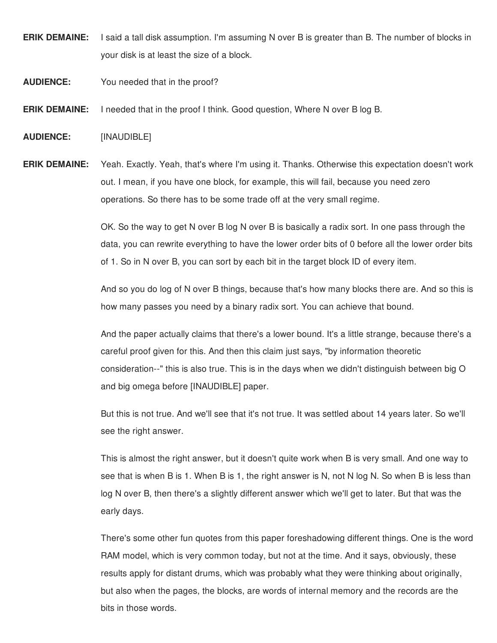- **ERIK DEMAINE:** I said a tall disk assumption. I'm assuming N over B is greater than B. The number of blocks in your disk is at least the size of a block.
- **AUDIENCE:** You needed that in the proof?
- **ERIK DEMAINE:** I needed that in the proof I think. Good question, Where N over B log B.
- **AUDIENCE:** [INAUDIBLE]

**ERIK DEMAINE:** Yeah. Exactly. Yeah, that's where I'm using it. Thanks. Otherwise this expectation doesn't work out. I mean, if you have one block, for example, this will fail, because you need zero operations. So there has to be some trade off at the very small regime.

> OK. So the way to get N over B log N over B is basically a radix sort. In one pass through the data, you can rewrite everything to have the lower order bits of 0 before all the lower order bits of 1. So in N over B, you can sort by each bit in the target block ID of every item.

> And so you do log of N over B things, because that's how many blocks there are. And so this is how many passes you need by a binary radix sort. You can achieve that bound.

> And the paper actually claims that there's a lower bound. It's a little strange, because there's a careful proof given for this. And then this claim just says, "by information theoretic consideration--" this is also true. This is in the days when we didn't distinguish between big O and big omega before [INAUDIBLE] paper.

But this is not true. And we'll see that it's not true. It was settled about 14 years later. So we'll see the right answer.

This is almost the right answer, but it doesn't quite work when B is very small. And one way to see that is when B is 1. When B is 1, the right answer is N, not N log N. So when B is less than log N over B, then there's a slightly different answer which we'll get to later. But that was the early days.

There's some other fun quotes from this paper foreshadowing different things. One is the word RAM model, which is very common today, but not at the time. And it says, obviously, these results apply for distant drums, which was probably what they were thinking about originally, but also when the pages, the blocks, are words of internal memory and the records are the bits in those words.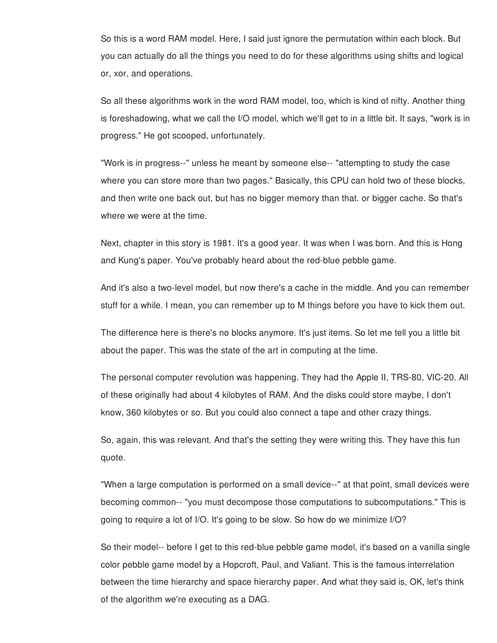So this is a word RAM model. Here, I said just ignore the permutation within each block. But you can actually do all the things you need to do for these algorithms using shifts and logical or, xor, and operations.

So all these algorithms work in the word RAM model, too, which is kind of nifty. Another thing is foreshadowing, what we call the I/O model, which we'll get to in a little bit. It says, "work is in progress." He got scooped, unfortunately.

"Work is in progress--" unless he meant by someone else-- "attempting to study the case where you can store more than two pages." Basically, this CPU can hold two of these blocks, and then write one back out, but has no bigger memory than that. or bigger cache. So that's where we were at the time.

Next, chapter in this story is 1981. It's a good year. It was when I was born. And this is Hong and Kung's paper. You've probably heard about the red-blue pebble game.

And it's also a two-level model, but now there's a cache in the middle. And you can remember stuff for a while. I mean, you can remember up to M things before you have to kick them out.

The difference here is there's no blocks anymore. It's just items. So let me tell you a little bit about the paper. This was the state of the art in computing at the time.

The personal computer revolution was happening. They had the Apple II, TRS-80, VIC-20. All of these originally had about 4 kilobytes of RAM. And the disks could store maybe, I don't know, 360 kilobytes or so. But you could also connect a tape and other crazy things.

So, again, this was relevant. And that's the setting they were writing this. They have this fun quote.

"When a large computation is performed on a small device--" at that point, small devices were becoming common-- "you must decompose those computations to subcomputations." This is going to require a lot of I/O. It's going to be slow. So how do we minimize I/O?

So their model-- before I get to this red-blue pebble game model, it's based on a vanilla single color pebble game model by a Hopcroft, Paul, and Valiant. This is the famous interrelation between the time hierarchy and space hierarchy paper. And what they said is, OK, let's think of the algorithm we're executing as a DAG.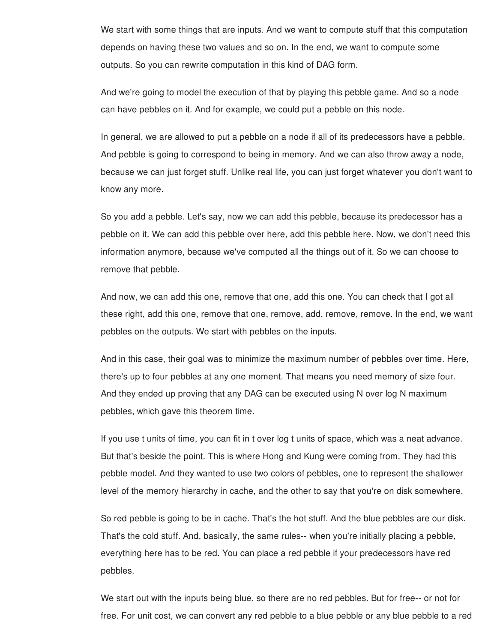We start with some things that are inputs. And we want to compute stuff that this computation depends on having these two values and so on. In the end, we want to compute some outputs. So you can rewrite computation in this kind of DAG form.

And we're going to model the execution of that by playing this pebble game. And so a node can have pebbles on it. And for example, we could put a pebble on this node.

In general, we are allowed to put a pebble on a node if all of its predecessors have a pebble. And pebble is going to correspond to being in memory. And we can also throw away a node, because we can just forget stuff. Unlike real life, you can just forget whatever you don't want to know any more.

So you add a pebble. Let's say, now we can add this pebble, because its predecessor has a pebble on it. We can add this pebble over here, add this pebble here. Now, we don't need this information anymore, because we've computed all the things out of it. So we can choose to remove that pebble.

And now, we can add this one, remove that one, add this one. You can check that I got all these right, add this one, remove that one, remove, add, remove, remove. In the end, we want pebbles on the outputs. We start with pebbles on the inputs.

And in this case, their goal was to minimize the maximum number of pebbles over time. Here, there's up to four pebbles at any one moment. That means you need memory of size four. And they ended up proving that any DAG can be executed using N over log N maximum pebbles, which gave this theorem time.

If you use t units of time, you can fit in t over log t units of space, which was a neat advance. But that's beside the point. This is where Hong and Kung were coming from. They had this pebble model. And they wanted to use two colors of pebbles, one to represent the shallower level of the memory hierarchy in cache, and the other to say that you're on disk somewhere.

So red pebble is going to be in cache. That's the hot stuff. And the blue pebbles are our disk. That's the cold stuff. And, basically, the same rules-- when you're initially placing a pebble, everything here has to be red. You can place a red pebble if your predecessors have red pebbles.

We start out with the inputs being blue, so there are no red pebbles. But for free-- or not for free. For unit cost, we can convert any red pebble to a blue pebble or any blue pebble to a red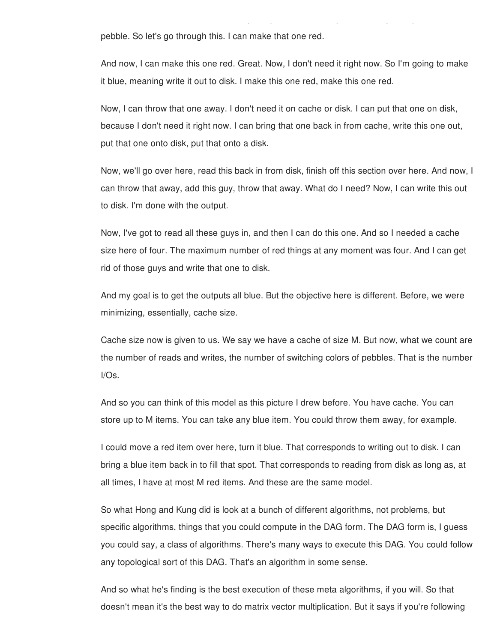pebble. So let's go through this. I can make that one red.

And now, I can make this one red. Great. Now, I don't need it right now. So I'm going to make it blue, meaning write it out to disk. I make this one red, make this one red.

free. For unit cost, we can convert any red pebble to a blue pebble or any blue pebble to a red

Now, I can throw that one away. I don't need it on cache or disk. I can put that one on disk, because I don't need it right now. I can bring that one back in from cache, write this one out, put that one onto disk, put that onto a disk.

Now, we'll go over here, read this back in from disk, finish off this section over here. And now, I can throw that away, add this guy, throw that away. What do I need? Now, I can write this out to disk. I'm done with the output.

Now, I've got to read all these guys in, and then I can do this one. And so I needed a cache size here of four. The maximum number of red things at any moment was four. And I can get rid of those guys and write that one to disk.

And my goal is to get the outputs all blue. But the objective here is different. Before, we were minimizing, essentially, cache size.

Cache size now is given to us. We say we have a cache of size M. But now, what we count are the number of reads and writes, the number of switching colors of pebbles. That is the number I/Os.

And so you can think of this model as this picture I drew before. You have cache. You can store up to M items. You can take any blue item. You could throw them away, for example.

I could move a red item over here, turn it blue. That corresponds to writing out to disk. I can bring a blue item back in to fill that spot. That corresponds to reading from disk as long as, at all times, I have at most M red items. And these are the same model.

So what Hong and Kung did is look at a bunch of different algorithms, not problems, but specific algorithms, things that you could compute in the DAG form. The DAG form is, I guess you could say, a class of algorithms. There's many ways to execute this DAG. You could follow any topological sort of this DAG. That's an algorithm in some sense.

And so what he's finding is the best execution of these meta algorithms, if you will. So that doesn't mean it's the best way to do matrix vector multiplication. But it says if you're following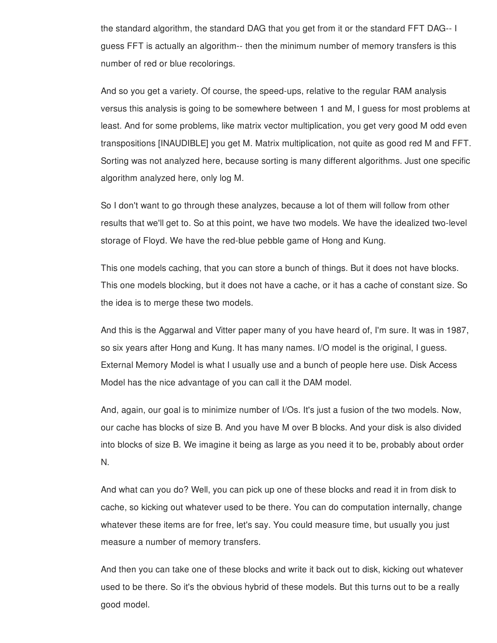the standard algorithm, the standard DAG that you get from it or the standard FFT DAG-- I guess FFT is actually an algorithm-- then the minimum number of memory transfers is this number of red or blue recolorings.

And so you get a variety. Of course, the speed-ups, relative to the regular RAM analysis versus this analysis is going to be somewhere between 1 and M, I guess for most problems at least. And for some problems, like matrix vector multiplication, you get very good M odd even transpositions [INAUDIBLE] you get M. Matrix multiplication, not quite as good red M and FFT. Sorting was not analyzed here, because sorting is many different algorithms. Just one specific algorithm analyzed here, only log M.

So I don't want to go through these analyzes, because a lot of them will follow from other results that we'll get to. So at this point, we have two models. We have the idealized two-level storage of Floyd. We have the red-blue pebble game of Hong and Kung.

This one models caching, that you can store a bunch of things. But it does not have blocks. This one models blocking, but it does not have a cache, or it has a cache of constant size. So the idea is to merge these two models.

And this is the Aggarwal and Vitter paper many of you have heard of, I'm sure. It was in 1987, so six years after Hong and Kung. It has many names. I/O model is the original, I guess. External Memory Model is what I usually use and a bunch of people here use. Disk Access Model has the nice advantage of you can call it the DAM model.

And, again, our goal is to minimize number of I/Os. It's just a fusion of the two models. Now, our cache has blocks of size B. And you have M over B blocks. And your disk is also divided into blocks of size B. We imagine it being as large as you need it to be, probably about order N.

And what can you do? Well, you can pick up one of these blocks and read it in from disk to cache, so kicking out whatever used to be there. You can do computation internally, change whatever these items are for free, let's say. You could measure time, but usually you just measure a number of memory transfers.

And then you can take one of these blocks and write it back out to disk, kicking out whatever used to be there. So it's the obvious hybrid of these models. But this turns out to be a really good model.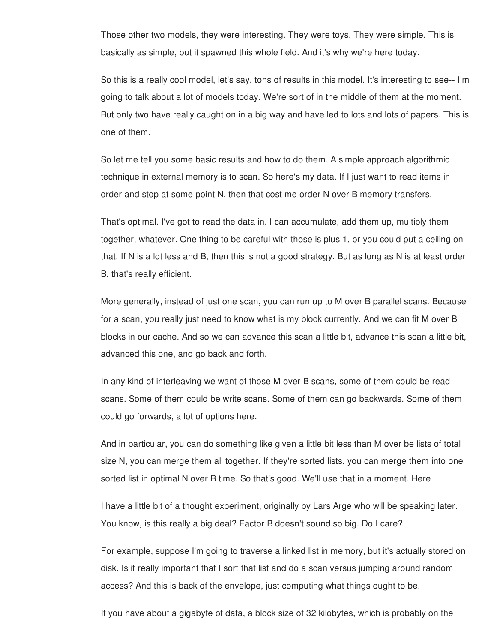Those other two models, they were interesting. They were toys. They were simple. This is basically as simple, but it spawned this whole field. And it's why we're here today.

So this is a really cool model, let's say, tons of results in this model. It's interesting to see-- I'm going to talk about a lot of models today. We're sort of in the middle of them at the moment. But only two have really caught on in a big way and have led to lots and lots of papers. This is one of them.

So let me tell you some basic results and how to do them. A simple approach algorithmic technique in external memory is to scan. So here's my data. If I just want to read items in order and stop at some point N, then that cost me order N over B memory transfers.

That's optimal. I've got to read the data in. I can accumulate, add them up, multiply them together, whatever. One thing to be careful with those is plus 1, or you could put a ceiling on that. If N is a lot less and B, then this is not a good strategy. But as long as N is at least order B, that's really efficient.

More generally, instead of just one scan, you can run up to M over B parallel scans. Because for a scan, you really just need to know what is my block currently. And we can fit M over B blocks in our cache. And so we can advance this scan a little bit, advance this scan a little bit, advanced this one, and go back and forth.

In any kind of interleaving we want of those M over B scans, some of them could be read scans. Some of them could be write scans. Some of them can go backwards. Some of them could go forwards, a lot of options here.

And in particular, you can do something like given a little bit less than M over be lists of total size N, you can merge them all together. If they're sorted lists, you can merge them into one sorted list in optimal N over B time. So that's good. We'll use that in a moment. Here

I have a little bit of a thought experiment, originally by Lars Arge who will be speaking later. You know, is this really a big deal? Factor B doesn't sound so big. Do I care?

For example, suppose I'm going to traverse a linked list in memory, but it's actually stored on disk. Is it really important that I sort that list and do a scan versus jumping around random access? And this is back of the envelope, just computing what things ought to be.

If you have about a gigabyte of data, a block size of 32 kilobytes, which is probably on the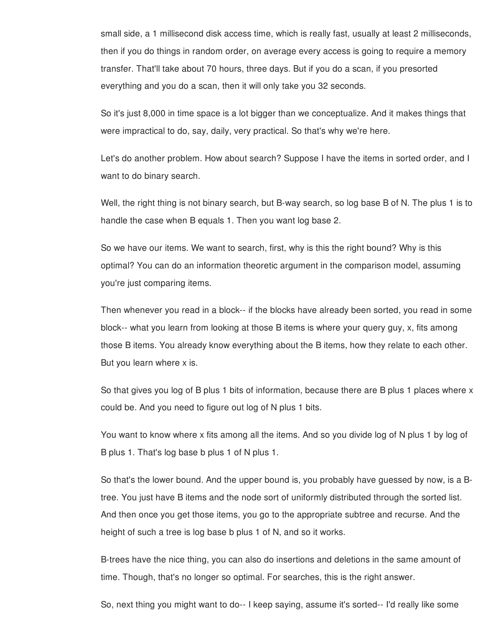small side, a 1 millisecond disk access time, which is really fast, usually at least 2 milliseconds, then if you do things in random order, on average every access is going to require a memory transfer. That'll take about 70 hours, three days. But if you do a scan, if you presorted everything and you do a scan, then it will only take you 32 seconds.

So it's just 8,000 in time space is a lot bigger than we conceptualize. And it makes things that were impractical to do, say, daily, very practical. So that's why we're here.

Let's do another problem. How about search? Suppose I have the items in sorted order, and I want to do binary search.

Well, the right thing is not binary search, but B-way search, so log base B of N. The plus 1 is to handle the case when B equals 1. Then you want log base 2.

So we have our items. We want to search, first, why is this the right bound? Why is this optimal? You can do an information theoretic argument in the comparison model, assuming you're just comparing items.

Then whenever you read in a block-- if the blocks have already been sorted, you read in some block-- what you learn from looking at those B items is where your query guy, x, fits among those B items. You already know everything about the B items, how they relate to each other. But you learn where x is.

So that gives you log of B plus 1 bits of information, because there are B plus 1 places where x could be. And you need to figure out log of N plus 1 bits.

You want to know where x fits among all the items. And so you divide log of N plus 1 by log of B plus 1. That's log base b plus 1 of N plus 1.

So that's the lower bound. And the upper bound is, you probably have guessed by now, is a Btree. You just have B items and the node sort of uniformly distributed through the sorted list. And then once you get those items, you go to the appropriate subtree and recurse. And the height of such a tree is log base b plus 1 of N, and so it works.

B-trees have the nice thing, you can also do insertions and deletions in the same amount of time. Though, that's no longer so optimal. For searches, this is the right answer.

So, next thing you might want to do-- I keep saying, assume it's sorted-- I'd really like some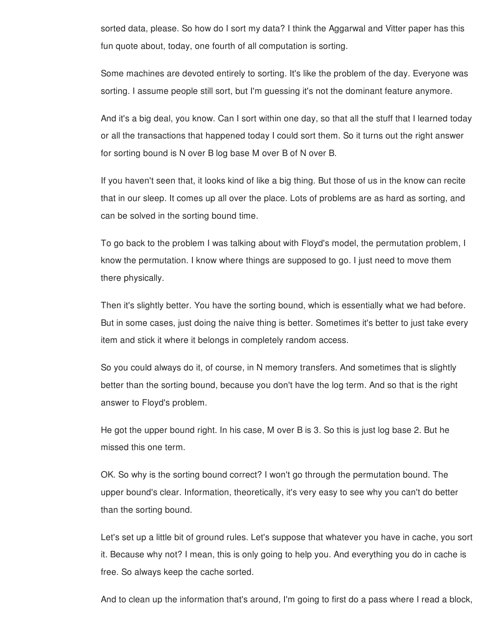sorted data, please. So how do I sort my data? I think the Aggarwal and Vitter paper has this fun quote about, today, one fourth of all computation is sorting.

Some machines are devoted entirely to sorting. It's like the problem of the day. Everyone was sorting. I assume people still sort, but I'm guessing it's not the dominant feature anymore.

And it's a big deal, you know. Can I sort within one day, so that all the stuff that I learned today or all the transactions that happened today I could sort them. So it turns out the right answer for sorting bound is N over B log base M over B of N over B.

If you haven't seen that, it looks kind of like a big thing. But those of us in the know can recite that in our sleep. It comes up all over the place. Lots of problems are as hard as sorting, and can be solved in the sorting bound time.

To go back to the problem I was talking about with Floyd's model, the permutation problem, I know the permutation. I know where things are supposed to go. I just need to move them there physically.

Then it's slightly better. You have the sorting bound, which is essentially what we had before. But in some cases, just doing the naive thing is better. Sometimes it's better to just take every item and stick it where it belongs in completely random access.

So you could always do it, of course, in N memory transfers. And sometimes that is slightly better than the sorting bound, because you don't have the log term. And so that is the right answer to Floyd's problem.

He got the upper bound right. In his case, M over B is 3. So this is just log base 2. But he missed this one term.

OK. So why is the sorting bound correct? I won't go through the permutation bound. The upper bound's clear. Information, theoretically, it's very easy to see why you can't do better than the sorting bound.

Let's set up a little bit of ground rules. Let's suppose that whatever you have in cache, you sort it. Because why not? I mean, this is only going to help you. And everything you do in cache is free. So always keep the cache sorted.

And to clean up the information that's around, I'm going to first do a pass where I read a block,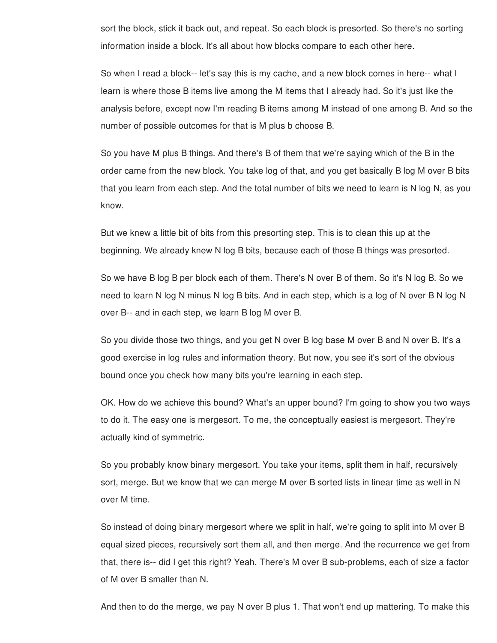sort the block, stick it back out, and repeat. So each block is presorted. So there's no sorting information inside a block. It's all about how blocks compare to each other here.

So when I read a block-- let's say this is my cache, and a new block comes in here-- what I learn is where those B items live among the M items that I already had. So it's just like the analysis before, except now I'm reading B items among M instead of one among B. And so the number of possible outcomes for that is M plus b choose B.

So you have M plus B things. And there's B of them that we're saying which of the B in the order came from the new block. You take log of that, and you get basically B log M over B bits that you learn from each step. And the total number of bits we need to learn is N log N, as you know.

But we knew a little bit of bits from this presorting step. This is to clean this up at the beginning. We already knew N log B bits, because each of those B things was presorted.

So we have B log B per block each of them. There's N over B of them. So it's N log B. So we need to learn N log N minus N log B bits. And in each step, which is a log of N over B N log N over B-- and in each step, we learn B log M over B.

So you divide those two things, and you get N over B log base M over B and N over B. It's a good exercise in log rules and information theory. But now, you see it's sort of the obvious bound once you check how many bits you're learning in each step.

OK. How do we achieve this bound? What's an upper bound? I'm going to show you two ways to do it. The easy one is mergesort. To me, the conceptually easiest is mergesort. They're actually kind of symmetric.

So you probably know binary mergesort. You take your items, split them in half, recursively sort, merge. But we know that we can merge M over B sorted lists in linear time as well in N over M time.

So instead of doing binary mergesort where we split in half, we're going to split into M over B equal sized pieces, recursively sort them all, and then merge. And the recurrence we get from that, there is-- did I get this right? Yeah. There's M over B sub-problems, each of size a factor of M over B smaller than N.

And then to do the merge, we pay N over B plus 1. That won't end up mattering. To make this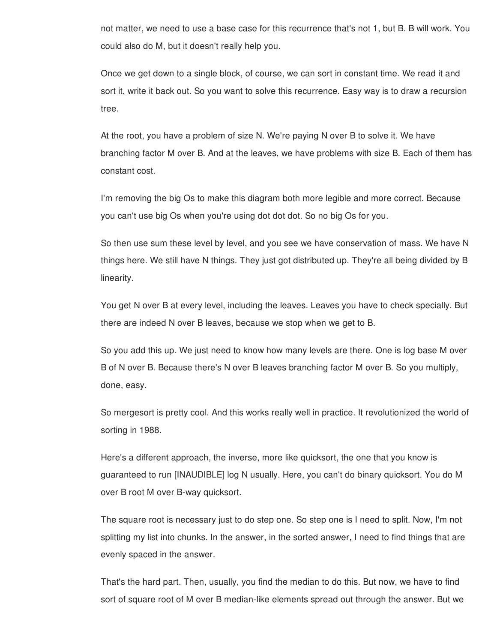not matter, we need to use a base case for this recurrence that's not 1, but B. B will work. You could also do M, but it doesn't really help you.

Once we get down to a single block, of course, we can sort in constant time. We read it and sort it, write it back out. So you want to solve this recurrence. Easy way is to draw a recursion tree.

At the root, you have a problem of size N. We're paying N over B to solve it. We have branching factor M over B. And at the leaves, we have problems with size B. Each of them has constant cost.

I'm removing the big Os to make this diagram both more legible and more correct. Because you can't use big Os when you're using dot dot dot. So no big Os for you.

So then use sum these level by level, and you see we have conservation of mass. We have N things here. We still have N things. They just got distributed up. They're all being divided by B linearity.

You get N over B at every level, including the leaves. Leaves you have to check specially. But there are indeed N over B leaves, because we stop when we get to B.

So you add this up. We just need to know how many levels are there. One is log base M over B of N over B. Because there's N over B leaves branching factor M over B. So you multiply, done, easy.

So mergesort is pretty cool. And this works really well in practice. It revolutionized the world of sorting in 1988.

Here's a different approach, the inverse, more like quicksort, the one that you know is guaranteed to run [INAUDIBLE] log N usually. Here, you can't do binary quicksort. You do M over B root M over B-way quicksort.

The square root is necessary just to do step one. So step one is I need to split. Now, I'm not splitting my list into chunks. In the answer, in the sorted answer, I need to find things that are evenly spaced in the answer.

That's the hard part. Then, usually, you find the median to do this. But now, we have to find sort of square root of M over B median-like elements spread out through the answer. But we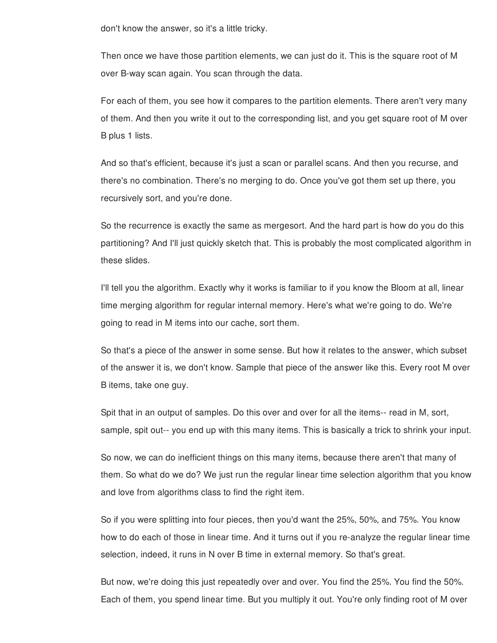don't know the answer, so it's a little tricky.

Then once we have those partition elements, we can just do it. This is the square root of M over B-way scan again. You scan through the data.

For each of them, you see how it compares to the partition elements. There aren't very many of them. And then you write it out to the corresponding list, and you get square root of M over B plus 1 lists.

And so that's efficient, because it's just a scan or parallel scans. And then you recurse, and there's no combination. There's no merging to do. Once you've got them set up there, you recursively sort, and you're done.

So the recurrence is exactly the same as mergesort. And the hard part is how do you do this partitioning? And I'll just quickly sketch that. This is probably the most complicated algorithm in these slides.

I'll tell you the algorithm. Exactly why it works is familiar to if you know the Bloom at all, linear time merging algorithm for regular internal memory. Here's what we're going to do. We're going to read in M items into our cache, sort them.

So that's a piece of the answer in some sense. But how it relates to the answer, which subset of the answer it is, we don't know. Sample that piece of the answer like this. Every root M over B items, take one guy.

Spit that in an output of samples. Do this over and over for all the items-- read in M, sort, sample, spit out-- you end up with this many items. This is basically a trick to shrink your input.

So now, we can do inefficient things on this many items, because there aren't that many of them. So what do we do? We just run the regular linear time selection algorithm that you know and love from algorithms class to find the right item.

So if you were splitting into four pieces, then you'd want the 25%, 50%, and 75%. You know how to do each of those in linear time. And it turns out if you re-analyze the regular linear time selection, indeed, it runs in N over B time in external memory. So that's great.

But now, we're doing this just repeatedly over and over. You find the 25%. You find the 50%. Each of them, you spend linear time. But you multiply it out. You're only finding root of M over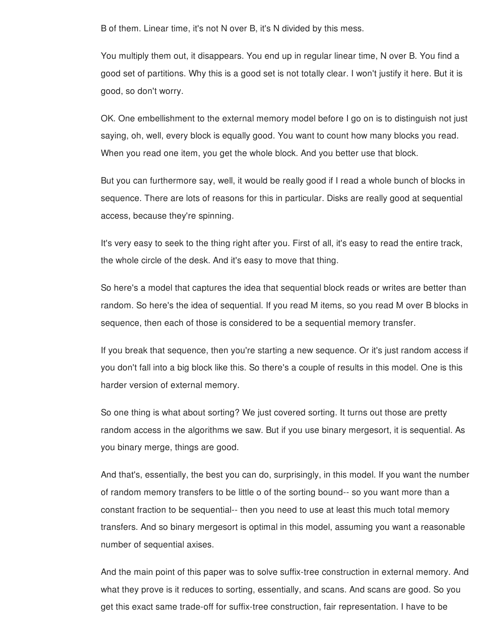B of them. Linear time, it's not N over B, it's N divided by this mess.

You multiply them out, it disappears. You end up in regular linear time, N over B. You find a good set of partitions. Why this is a good set is not totally clear. I won't justify it here. But it is good, so don't worry.

OK. One embellishment to the external memory model before I go on is to distinguish not just saying, oh, well, every block is equally good. You want to count how many blocks you read. When you read one item, you get the whole block. And you better use that block.

But you can furthermore say, well, it would be really good if I read a whole bunch of blocks in sequence. There are lots of reasons for this in particular. Disks are really good at sequential access, because they're spinning.

It's very easy to seek to the thing right after you. First of all, it's easy to read the entire track, the whole circle of the desk. And it's easy to move that thing.

So here's a model that captures the idea that sequential block reads or writes are better than random. So here's the idea of sequential. If you read M items, so you read M over B blocks in sequence, then each of those is considered to be a sequential memory transfer.

If you break that sequence, then you're starting a new sequence. Or it's just random access if you don't fall into a big block like this. So there's a couple of results in this model. One is this harder version of external memory.

So one thing is what about sorting? We just covered sorting. It turns out those are pretty random access in the algorithms we saw. But if you use binary mergesort, it is sequential. As you binary merge, things are good.

And that's, essentially, the best you can do, surprisingly, in this model. If you want the number of random memory transfers to be little o of the sorting bound-- so you want more than a constant fraction to be sequential-- then you need to use at least this much total memory transfers. And so binary mergesort is optimal in this model, assuming you want a reasonable number of sequential axises.

And the main point of this paper was to solve suffix-tree construction in external memory. And what they prove is it reduces to sorting, essentially, and scans. And scans are good. So you get this exact same trade-off for suffix-tree construction, fair representation. I have to be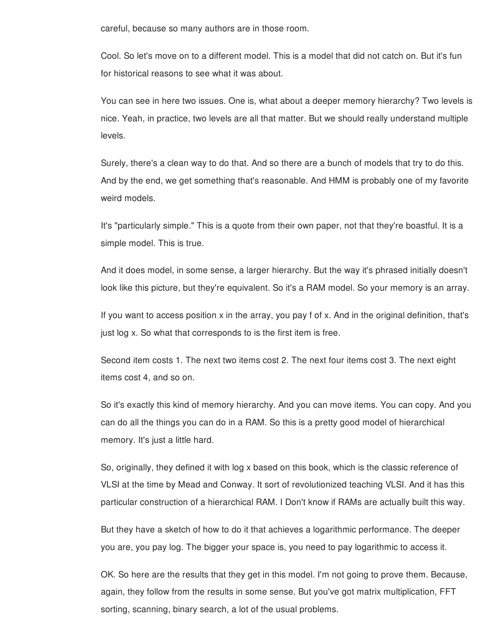careful, because so many authors are in those room.

Cool. So let's move on to a different model. This is a model that did not catch on. But it's fun for historical reasons to see what it was about.

You can see in here two issues. One is, what about a deeper memory hierarchy? Two levels is nice. Yeah, in practice, two levels are all that matter. But we should really understand multiple levels.

Surely, there's a clean way to do that. And so there are a bunch of models that try to do this. And by the end, we get something that's reasonable. And HMM is probably one of my favorite weird models.

It's "particularly simple." This is a quote from their own paper, not that they're boastful. It is a simple model. This is true.

And it does model, in some sense, a larger hierarchy. But the way it's phrased initially doesn't look like this picture, but they're equivalent. So it's a RAM model. So your memory is an array.

If you want to access position x in the array, you pay f of x. And in the original definition, that's just log x. So what that corresponds to is the first item is free.

Second item costs 1. The next two items cost 2. The next four items cost 3. The next eight items cost 4, and so on.

So it's exactly this kind of memory hierarchy. And you can move items. You can copy. And you can do all the things you can do in a RAM. So this is a pretty good model of hierarchical memory. It's just a little hard.

So, originally, they defined it with log x based on this book, which is the classic reference of VLSI at the time by Mead and Conway. It sort of revolutionized teaching VLSI. And it has this particular construction of a hierarchical RAM. I Don't know if RAMs are actually built this way.

But they have a sketch of how to do it that achieves a logarithmic performance. The deeper you are, you pay log. The bigger your space is, you need to pay logarithmic to access it.

OK. So here are the results that they get in this model. I'm not going to prove them. Because, again, they follow from the results in some sense. But you've got matrix multiplication, FFT sorting, scanning, binary search, a lot of the usual problems.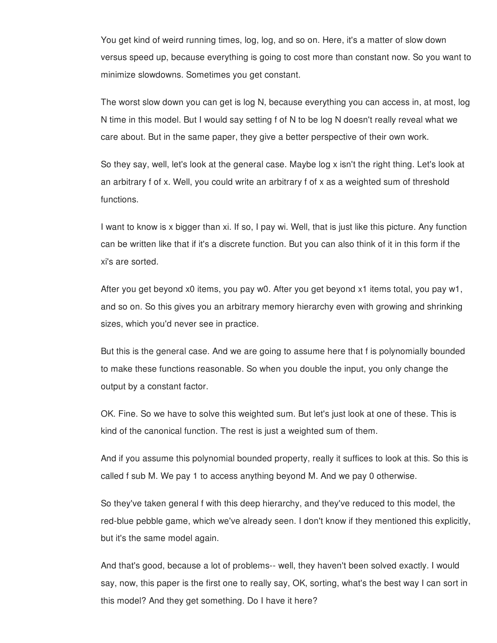You get kind of weird running times, log, log, and so on. Here, it's a matter of slow down versus speed up, because everything is going to cost more than constant now. So you want to minimize slowdowns. Sometimes you get constant.

The worst slow down you can get is log N, because everything you can access in, at most, log N time in this model. But I would say setting f of N to be log N doesn't really reveal what we care about. But in the same paper, they give a better perspective of their own work.

So they say, well, let's look at the general case. Maybe log x isn't the right thing. Let's look at an arbitrary f of x. Well, you could write an arbitrary f of x as a weighted sum of threshold functions.

I want to know is x bigger than xi. If so, I pay wi. Well, that is just like this picture. Any function can be written like that if it's a discrete function. But you can also think of it in this form if the xi's are sorted.

After you get beyond x0 items, you pay w0. After you get beyond x1 items total, you pay w1, and so on. So this gives you an arbitrary memory hierarchy even with growing and shrinking sizes, which you'd never see in practice.

But this is the general case. And we are going to assume here that f is polynomially bounded to make these functions reasonable. So when you double the input, you only change the output by a constant factor.

OK. Fine. So we have to solve this weighted sum. But let's just look at one of these. This is kind of the canonical function. The rest is just a weighted sum of them.

And if you assume this polynomial bounded property, really it suffices to look at this. So this is called f sub M. We pay 1 to access anything beyond M. And we pay 0 otherwise.

So they've taken general f with this deep hierarchy, and they've reduced to this model, the red-blue pebble game, which we've already seen. I don't know if they mentioned this explicitly, but it's the same model again.

And that's good, because a lot of problems-- well, they haven't been solved exactly. I would say, now, this paper is the first one to really say, OK, sorting, what's the best way I can sort in this model? And they get something. Do I have it here?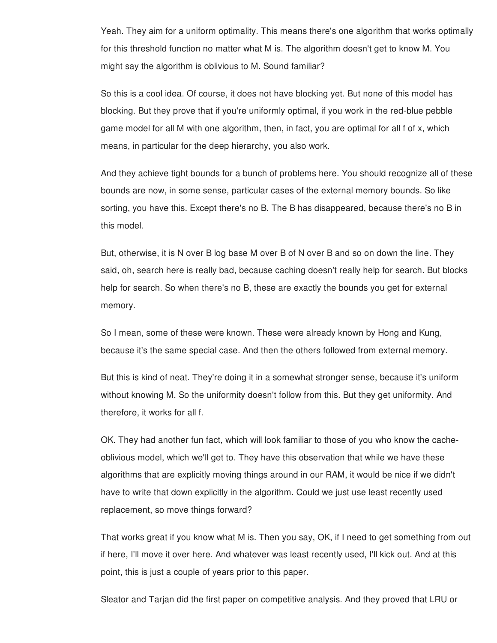Yeah. They aim for a uniform optimality. This means there's one algorithm that works optimally for this threshold function no matter what M is. The algorithm doesn't get to know M. You might say the algorithm is oblivious to M. Sound familiar?

So this is a cool idea. Of course, it does not have blocking yet. But none of this model has blocking. But they prove that if you're uniformly optimal, if you work in the red-blue pebble game model for all M with one algorithm, then, in fact, you are optimal for all f of x, which means, in particular for the deep hierarchy, you also work.

And they achieve tight bounds for a bunch of problems here. You should recognize all of these bounds are now, in some sense, particular cases of the external memory bounds. So like sorting, you have this. Except there's no B. The B has disappeared, because there's no B in this model.

But, otherwise, it is N over B log base M over B of N over B and so on down the line. They said, oh, search here is really bad, because caching doesn't really help for search. But blocks help for search. So when there's no B, these are exactly the bounds you get for external memory.

So I mean, some of these were known. These were already known by Hong and Kung, because it's the same special case. And then the others followed from external memory.

But this is kind of neat. They're doing it in a somewhat stronger sense, because it's uniform without knowing M. So the uniformity doesn't follow from this. But they get uniformity. And therefore, it works for all f.

OK. They had another fun fact, which will look familiar to those of you who know the cacheoblivious model, which we'll get to. They have this observation that while we have these algorithms that are explicitly moving things around in our RAM, it would be nice if we didn't have to write that down explicitly in the algorithm. Could we just use least recently used replacement, so move things forward?

That works great if you know what M is. Then you say, OK, if I need to get something from out if here, I'll move it over here. And whatever was least recently used, I'll kick out. And at this point, this is just a couple of years prior to this paper.

Sleator and Tarjan did the first paper on competitive analysis. And they proved that LRU or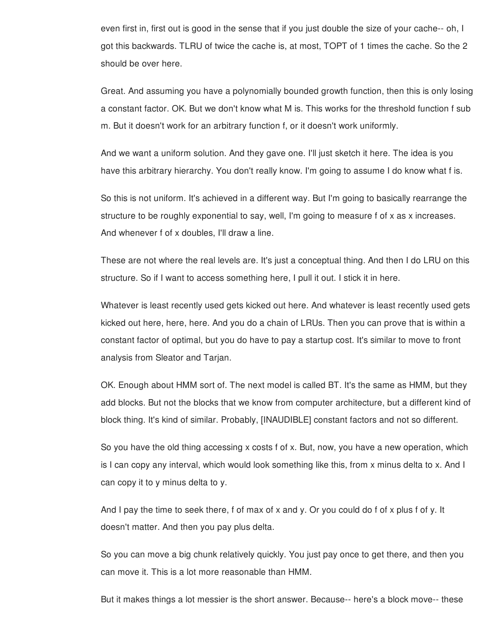even first in, first out is good in the sense that if you just double the size of your cache-- oh, I got this backwards. TLRU of twice the cache is, at most, TOPT of 1 times the cache. So the 2 should be over here.

Great. And assuming you have a polynomially bounded growth function, then this is only losing a constant factor. OK. But we don't know what M is. This works for the threshold function f sub m. But it doesn't work for an arbitrary function f, or it doesn't work uniformly.

And we want a uniform solution. And they gave one. I'll just sketch it here. The idea is you have this arbitrary hierarchy. You don't really know. I'm going to assume I do know what f is.

So this is not uniform. It's achieved in a different way. But I'm going to basically rearrange the structure to be roughly exponential to say, well, I'm going to measure f of x as x increases. And whenever f of x doubles, I'll draw a line.

These are not where the real levels are. It's just a conceptual thing. And then I do LRU on this structure. So if I want to access something here, I pull it out. I stick it in here.

Whatever is least recently used gets kicked out here. And whatever is least recently used gets kicked out here, here, here. And you do a chain of LRUs. Then you can prove that is within a constant factor of optimal, but you do have to pay a startup cost. It's similar to move to front analysis from Sleator and Tarjan.

OK. Enough about HMM sort of. The next model is called BT. It's the same as HMM, but they add blocks. But not the blocks that we know from computer architecture, but a different kind of block thing. It's kind of similar. Probably, [INAUDIBLE] constant factors and not so different.

So you have the old thing accessing x costs f of x. But, now, you have a new operation, which is I can copy any interval, which would look something like this, from x minus delta to x. And I can copy it to y minus delta to y.

And I pay the time to seek there, f of max of x and y. Or you could do f of x plus f of y. It doesn't matter. And then you pay plus delta.

So you can move a big chunk relatively quickly. You just pay once to get there, and then you can move it. This is a lot more reasonable than HMM.

But it makes things a lot messier is the short answer. Because-- here's a block move-- these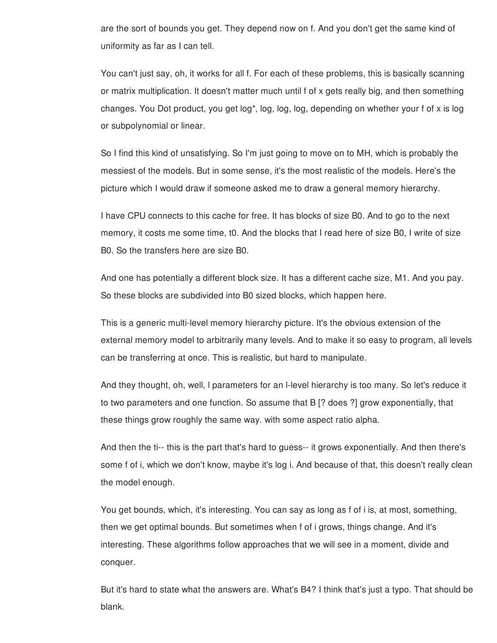are the sort of bounds you get. They depend now on f. And you don't get the same kind of uniformity as far as I can tell.

You can't just say, oh, it works for all f. For each of these problems, this is basically scanning or matrix multiplication. It doesn't matter much until f of x gets really big, and then something changes. You Dot product, you get log\*, log, log, log, depending on whether your f of x is log or subpolynomial or linear.

So I find this kind of unsatisfying. So I'm just going to move on to MH, which is probably the messiest of the models. But in some sense, it's the most realistic of the models. Here's the picture which I would draw if someone asked me to draw a general memory hierarchy.

I have CPU connects to this cache for free. It has blocks of size B0. And to go to the next memory, it costs me some time, t0. And the blocks that I read here of size B0, I write of size B0. So the transfers here are size B0.

And one has potentially a different block size. It has a different cache size, M1. And you pay. So these blocks are subdivided into B0 sized blocks, which happen here.

This is a generic multi-level memory hierarchy picture. It's the obvious extension of the external memory model to arbitrarily many levels. And to make it so easy to program, all levels can be transferring at once. This is realistic, but hard to manipulate.

And they thought, oh, well, l parameters for an l-level hierarchy is too many. So let's reduce it to two parameters and one function. So assume that B [? does ?] grow exponentially, that these things grow roughly the same way. with some aspect ratio alpha.

And then the ti-- this is the part that's hard to guess-- it grows exponentially. And then there's some f of i, which we don't know, maybe it's log i. And because of that, this doesn't really clean the model enough.

You get bounds, which, it's interesting. You can say as long as f of i is, at most, something, then we get optimal bounds. But sometimes when f of i grows, things change. And it's interesting. These algorithms follow approaches that we will see in a moment, divide and conquer.

But it's hard to state what the answers are. What's B4? I think that's just a typo. That should be blank.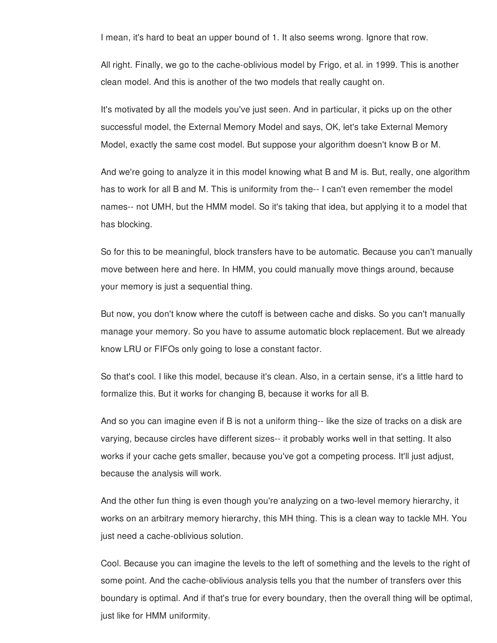I mean, it's hard to beat an upper bound of 1. It also seems wrong. Ignore that row.

All right. Finally, we go to the cache-oblivious model by Frigo, et al. in 1999. This is another clean model. And this is another of the two models that really caught on.

It's motivated by all the models you've just seen. And in particular, it picks up on the other successful model, the External Memory Model and says, OK, let's take External Memory Model, exactly the same cost model. But suppose your algorithm doesn't know B or M.

And we're going to analyze it in this model knowing what B and M is. But, really, one algorithm has to work for all B and M. This is uniformity from the-- I can't even remember the model names-- not UMH, but the HMM model. So it's taking that idea, but applying it to a model that has blocking.

So for this to be meaningful, block transfers have to be automatic. Because you can't manually move between here and here. In HMM, you could manually move things around, because your memory is just a sequential thing.

But now, you don't know where the cutoff is between cache and disks. So you can't manually manage your memory. So you have to assume automatic block replacement. But we already know LRU or FIFOs only going to lose a constant factor.

So that's cool. I like this model, because it's clean. Also, in a certain sense, it's a little hard to formalize this. But it works for changing B, because it works for all B.

And so you can imagine even if B is not a uniform thing-- like the size of tracks on a disk are varying, because circles have different sizes-- it probably works well in that setting. It also works if your cache gets smaller, because you've got a competing process. It'll just adjust, because the analysis will work.

And the other fun thing is even though you're analyzing on a two-level memory hierarchy, it works on an arbitrary memory hierarchy, this MH thing. This is a clean way to tackle MH. You just need a cache-oblivious solution.

Cool. Because you can imagine the levels to the left of something and the levels to the right of some point. And the cache-oblivious analysis tells you that the number of transfers over this boundary is optimal. And if that's true for every boundary, then the overall thing will be optimal, just like for HMM uniformity.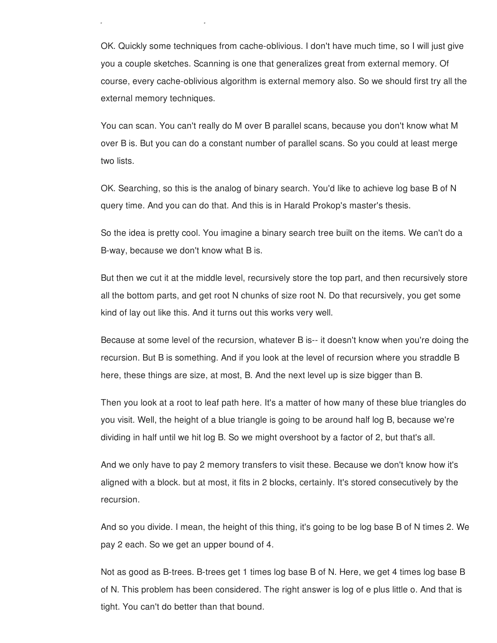OK. Quickly some techniques from cache-oblivious. I don't have much time, so I will just give you a couple sketches. Scanning is one that generalizes great from external memory. Of course, every cache-oblivious algorithm is external memory also. So we should first try all the external memory techniques.

just like for HMM uniformity.

You can scan. You can't really do M over B parallel scans, because you don't know what M over B is. But you can do a constant number of parallel scans. So you could at least merge two lists.

OK. Searching, so this is the analog of binary search. You'd like to achieve log base B of N query time. And you can do that. And this is in Harald Prokop's master's thesis.

So the idea is pretty cool. You imagine a binary search tree built on the items. We can't do a B-way, because we don't know what B is.

But then we cut it at the middle level, recursively store the top part, and then recursively store all the bottom parts, and get root N chunks of size root N. Do that recursively, you get some kind of lay out like this. And it turns out this works very well.

Because at some level of the recursion, whatever B is-- it doesn't know when you're doing the recursion. But B is something. And if you look at the level of recursion where you straddle B here, these things are size, at most, B. And the next level up is size bigger than B.

Then you look at a root to leaf path here. It's a matter of how many of these blue triangles do you visit. Well, the height of a blue triangle is going to be around half log B, because we're dividing in half until we hit log B. So we might overshoot by a factor of 2, but that's all.

And we only have to pay 2 memory transfers to visit these. Because we don't know how it's aligned with a block. but at most, it fits in 2 blocks, certainly. It's stored consecutively by the recursion.

And so you divide. I mean, the height of this thing, it's going to be log base B of N times 2. We pay 2 each. So we get an upper bound of 4.

Not as good as B-trees. B-trees get 1 times log base B of N. Here, we get 4 times log base B of N. This problem has been considered. The right answer is log of e plus little o. And that is tight. You can't do better than that bound.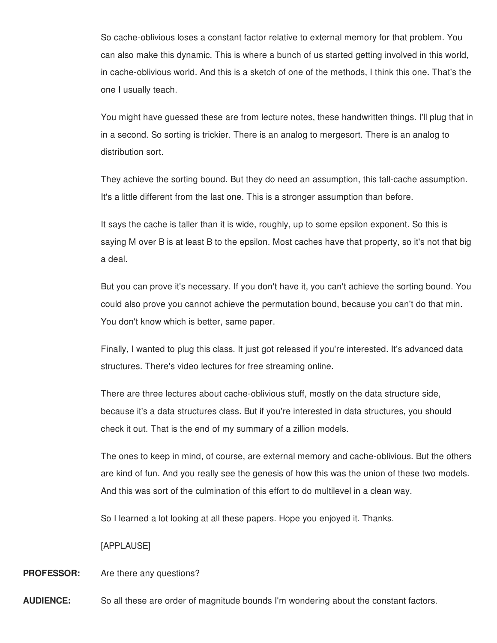So cache-oblivious loses a constant factor relative to external memory for that problem. You can also make this dynamic. This is where a bunch of us started getting involved in this world, in cache-oblivious world. And this is a sketch of one of the methods, I think this one. That's the one I usually teach.

You might have guessed these are from lecture notes, these handwritten things. I'll plug that in in a second. So sorting is trickier. There is an analog to mergesort. There is an analog to distribution sort.

They achieve the sorting bound. But they do need an assumption, this tall-cache assumption. It's a little different from the last one. This is a stronger assumption than before.

It says the cache is taller than it is wide, roughly, up to some epsilon exponent. So this is saying M over B is at least B to the epsilon. Most caches have that property, so it's not that big a deal.

But you can prove it's necessary. If you don't have it, you can't achieve the sorting bound. You could also prove you cannot achieve the permutation bound, because you can't do that min. You don't know which is better, same paper.

Finally, I wanted to plug this class. It just got released if you're interested. It's advanced data structures. There's video lectures for free streaming online.

There are three lectures about cache-oblivious stuff, mostly on the data structure side, because it's a data structures class. But if you're interested in data structures, you should check it out. That is the end of my summary of a zillion models.

The ones to keep in mind, of course, are external memory and cache-oblivious. But the others are kind of fun. And you really see the genesis of how this was the union of these two models. And this was sort of the culmination of this effort to do multilevel in a clean way.

So I learned a lot looking at all these papers. Hope you enjoyed it. Thanks.

[APPLAUSE]

## **PROFESSOR:** Are there any questions?

**AUDIENCE:** So all these are order of magnitude bounds I'm wondering about the constant factors.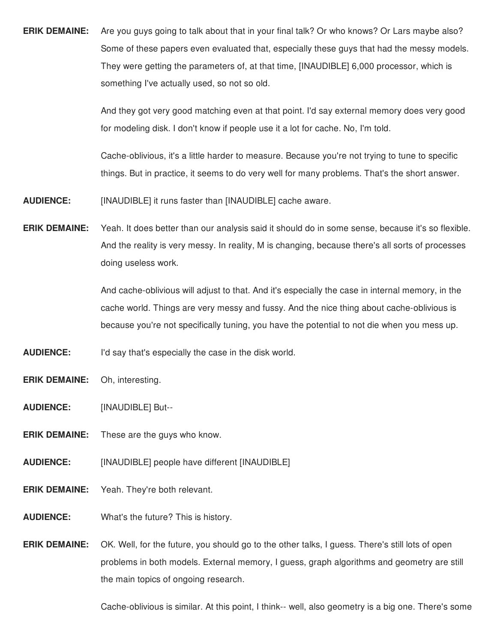**ERIK DEMAINE:** Are you guys going to talk about that in your final talk? Or who knows? Or Lars maybe also? Some of these papers even evaluated that, especially these guys that had the messy models. They were getting the parameters of, at that time, [INAUDIBLE] 6,000 processor, which is something I've actually used, so not so old.

> And they got very good matching even at that point. I'd say external memory does very good for modeling disk. I don't know if people use it a lot for cache. No, I'm told.

Cache-oblivious, it's a little harder to measure. Because you're not trying to tune to specific things. But in practice, it seems to do very well for many problems. That's the short answer.

- **AUDIENCE:** [INAUDIBLE] it runs faster than [INAUDIBLE] cache aware.
- **ERIK DEMAINE:** Yeah. It does better than our analysis said it should do in some sense, because it's so flexible. And the reality is very messy. In reality, M is changing, because there's all sorts of processes doing useless work.

And cache-oblivious will adjust to that. And it's especially the case in internal memory, in the cache world. Things are very messy and fussy. And the nice thing about cache-oblivious is because you're not specifically tuning, you have the potential to not die when you mess up.

**AUDIENCE:** I'd say that's especially the case in the disk world.

- **ERIK DEMAINE:** Oh, interesting.
- **AUDIENCE:** [INAUDIBLE] But--
- **ERIK DEMAINE:** These are the guys who know.
- **AUDIENCE:** [INAUDIBLE] people have different [INAUDIBLE]
- **ERIK DEMAINE:** Yeah. They're both relevant.
- **AUDIENCE:** What's the future? This is history.
- **ERIK DEMAINE:** OK. Well, for the future, you should go to the other talks, I guess. There's still lots of open problems in both models. External memory, I guess, graph algorithms and geometry are still the main topics of ongoing research.

Cache-oblivious is similar. At this point, I think-- well, also geometry is a big one. There's some